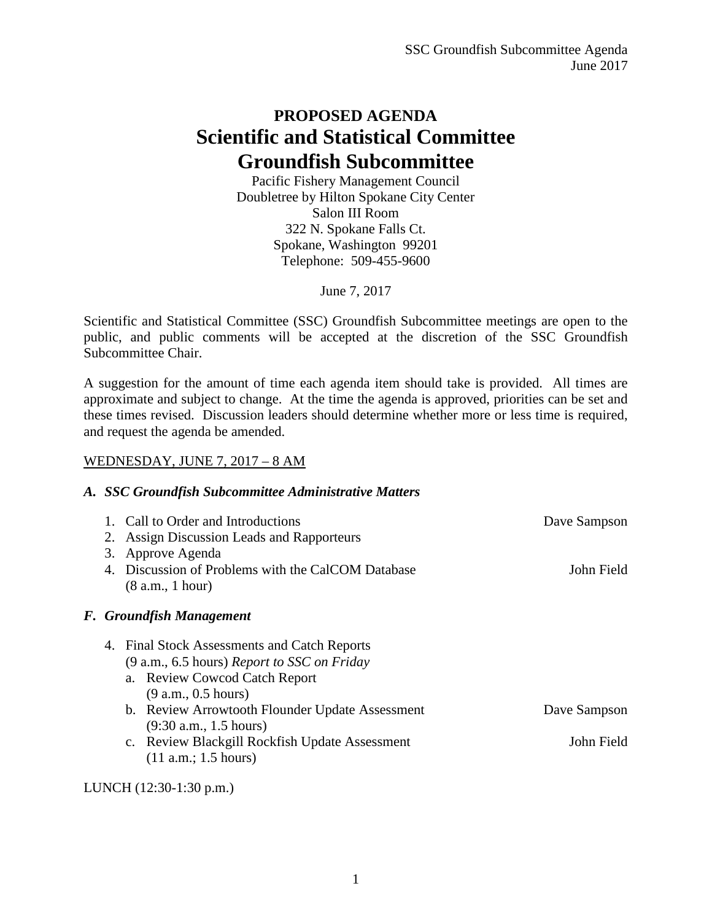# **PROPOSED AGENDA Scientific and Statistical Committee Groundfish Subcommittee**

Pacific Fishery Management Council Doubletree by Hilton Spokane City Center Salon III Room 322 N. Spokane Falls Ct. Spokane, Washington 99201 Telephone: 509-455-9600

June 7, 2017

Scientific and Statistical Committee (SSC) Groundfish Subcommittee meetings are open to the public, and public comments will be accepted at the discretion of the SSC Groundfish Subcommittee Chair.

A suggestion for the amount of time each agenda item should take is provided. All times are approximate and subject to change. At the time the agenda is approved, priorities can be set and these times revised. Discussion leaders should determine whether more or less time is required, and request the agenda be amended.

### WEDNESDAY, JUNE 7, 2017 – 8 AM

#### *A. SSC Groundfish Subcommittee Administrative Matters*

| 3. | 1. Call to Order and Introductions<br>Assign Discussion Leads and Rapporteurs<br>Approve Agenda | Dave Sampson |
|----|-------------------------------------------------------------------------------------------------|--------------|
|    | 4. Discussion of Problems with the CalCOM Database                                              | John Field   |
|    | (8 a.m., 1 hour)                                                                                |              |
|    | F. Groundfish Management                                                                        |              |
|    | 4. Final Stock Assessments and Catch Reports<br>$(9 a.m., 6.5 hours)$ Report to SSC on Friday   |              |
|    | a. Review Cowcod Catch Report                                                                   |              |
|    | (9 a.m., 0.5 hours)                                                                             |              |
|    | b. Review Arrowtooth Flounder Update Assessment                                                 | Dave Sampson |
|    | $(9:30$ a.m., 1.5 hours)                                                                        |              |
|    | c. Review Blackgill Rockfish Update Assessment<br>(11 a.m.; 1.5 hours)                          | John Field   |
|    |                                                                                                 |              |

LUNCH (12:30-1:30 p.m.)